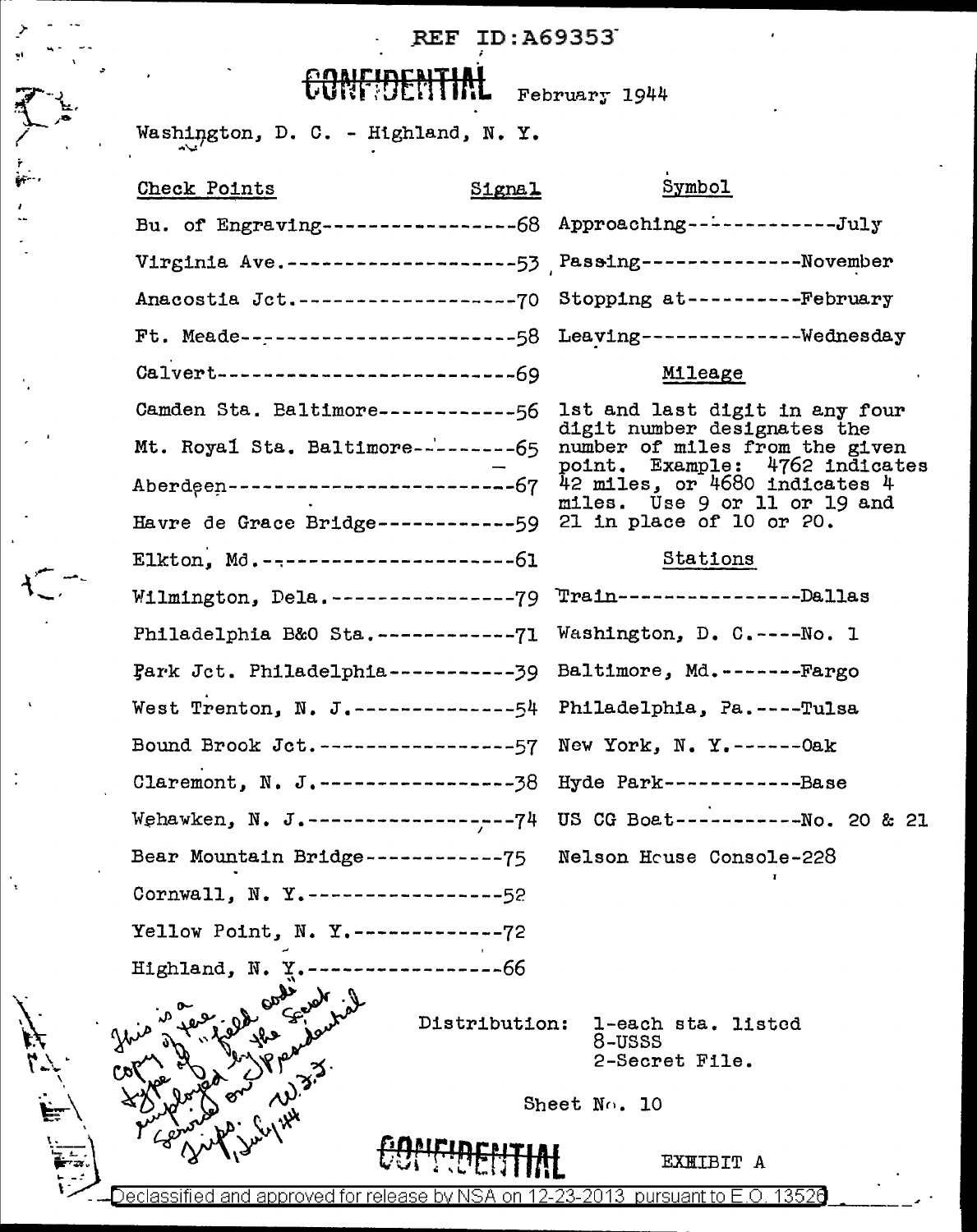## $\sum_{n=1}^{\infty}$ ...  $\sum_{n=1}^{\infty}$  . REF ID: A69353-

CONF!DENTIME February 1944

 $\mathcal{L}$ .

 $\ddot{\cdot}$ 

 $\frac{1}{2}$ 

| Washington, D. C. - Highland, N. Y.                                 |               |                                                                                                             |
|---------------------------------------------------------------------|---------------|-------------------------------------------------------------------------------------------------------------|
| <b>Check Points</b>                                                 | $51$ gna $1$  | Symbol                                                                                                      |
|                                                                     |               | Bu. of Engraving------------------68 Approaching-------------July                                           |
|                                                                     |               | Virginia Ave.---------------------53    Passing--------------November                                       |
|                                                                     |               | Anacostia Jct.----------------------70 Stopping at------------February                                      |
|                                                                     |               | Ft. Meade------------------------58 Leaving---------------Wednesday                                         |
| $Ca1vert------------------69$                                       |               | Mileage                                                                                                     |
|                                                                     |               | Camden Sta. Baltimore------------56 lst and last digit in any four                                          |
|                                                                     |               | digit number designates the<br>Mt. Royal Sta. Baltimore----------65 number of miles from the given          |
|                                                                     |               | point. Example: 4762 indicates<br>Aberdeen-------------------------------67 $42$ miles, or 4680 indicates 4 |
| Havre de Grace Bridge------------59 21 in place of 10 or 20.        |               | miles. Use 9 or 11 or 19 and                                                                                |
| Elkton, Md. ----------------------61                                |               | Stations                                                                                                    |
| Wilmington, Dela.------------------79 Train------------------Dallas |               |                                                                                                             |
| Philadelphia B&O Sta.-------------71 Washington, D. C.----No. 1     |               |                                                                                                             |
| Fark Jct. Philadelphia------------39 Baltimore, Md.--------Fargo    |               |                                                                                                             |
| West Trenton, N. J.--------------54 Philadelphia, Pa.----Tulsa      |               |                                                                                                             |
| Bound Brook Jct.-----------------57 New York, N. Y.------0ak        |               |                                                                                                             |
| Claremont, N. J.-------------------38 Hyde Park--------------Base   |               |                                                                                                             |
|                                                                     |               | Wehawken, N. J.------------------74 US CG Boat------------No. 20 & 21                                       |
| Bear Mountain Bridge------------75 Nelson House Console-228         |               |                                                                                                             |
| Cornwall, N. Y.-----------------52                                  |               |                                                                                                             |
| Yellow Point, N. Y.-------------72                                  |               |                                                                                                             |
| Highland, N.                                                        | ----------66  |                                                                                                             |
|                                                                     | Distribution: | 1-each sta. listed                                                                                          |
|                                                                     |               | 8-USSS<br>2-Secret File.                                                                                    |
|                                                                     |               |                                                                                                             |
|                                                                     |               | Sheet No. 10                                                                                                |
|                                                                     |               | EXHIBIT A                                                                                                   |
| <u>Declassified and approved for release by </u>                    | .on           | <u>2-23-2013 pursuant to E.O. 13526</u>                                                                     |